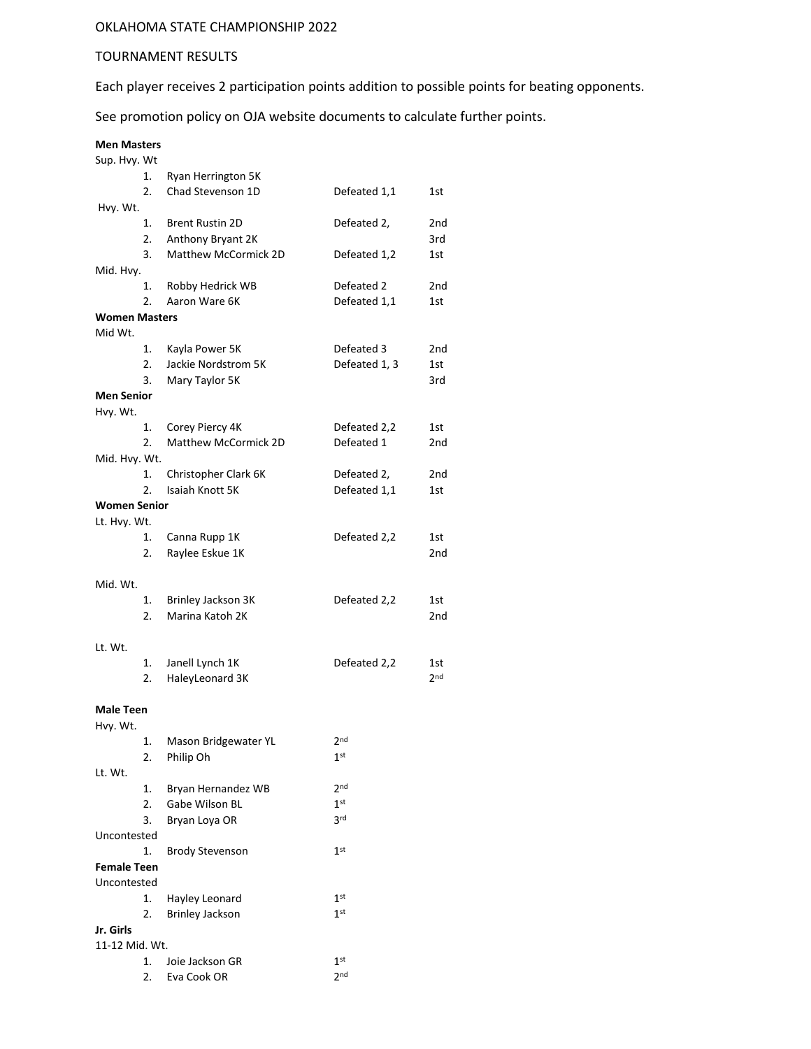## OKLAHOMA STATE CHAMPIONSHIP 2022

## TOURNAMENT RESULTS

Each player receives 2 participation points addition to possible points for beating opponents.

See promotion policy on OJA website documents to calculate further points.

## **Men Masters**

| Sup. Hvy. Wt         |    |                        |                 |                 |
|----------------------|----|------------------------|-----------------|-----------------|
|                      | 1. | Ryan Herrington 5K     |                 |                 |
|                      | 2. | Chad Stevenson 1D      | Defeated 1,1    | 1st             |
| Hvy. Wt.             |    |                        |                 |                 |
|                      | 1. | <b>Brent Rustin 2D</b> | Defeated 2,     | 2nd             |
|                      | 2. | Anthony Bryant 2K      |                 | 3rd             |
|                      | 3. | Matthew McCormick 2D   | Defeated 1,2    | 1st             |
| Mid. Hvy.            |    |                        |                 |                 |
|                      | 1. | Robby Hedrick WB       | Defeated 2      | 2 <sub>nd</sub> |
|                      | 2. | Aaron Ware 6K          | Defeated 1,1    | 1st             |
| <b>Women Masters</b> |    |                        |                 |                 |
| Mid Wt.              |    |                        |                 |                 |
|                      | 1. | Kayla Power 5K         | Defeated 3      | 2nd             |
|                      | 2. | Jackie Nordstrom 5K    | Defeated 1, 3   | 1st             |
|                      | 3. | Mary Taylor 5K         |                 | 3rd             |
| <b>Men Senior</b>    |    |                        |                 |                 |
| Hvy. Wt.             |    |                        |                 |                 |
|                      | 1. | Corey Piercy 4K        | Defeated 2,2    | 1st             |
|                      | 2. | Matthew McCormick 2D   | Defeated 1      | 2 <sub>nd</sub> |
| Mid. Hvy. Wt.        |    |                        |                 |                 |
|                      | 1. | Christopher Clark 6K   | Defeated 2,     | 2nd             |
|                      | 2. | Isaiah Knott 5K        | Defeated 1,1    | 1st             |
| <b>Women Senior</b>  |    |                        |                 |                 |
| Lt. Hvy. Wt.         |    |                        |                 |                 |
|                      | 1. | Canna Rupp 1K          | Defeated 2,2    | 1st             |
|                      | 2. | Raylee Eskue 1K        |                 | 2nd             |
| Mid. Wt.             |    |                        |                 |                 |
|                      | 1. | Brinley Jackson 3K     | Defeated 2,2    | 1st             |
|                      | 2. | Marina Katoh 2K        |                 | 2nd             |
|                      |    |                        |                 |                 |
| Lt. Wt.              |    |                        |                 |                 |
|                      | 1. | Janell Lynch 1K        | Defeated 2,2    | 1st             |
|                      | 2. | HaleyLeonard 3K        |                 | 2 <sub>nd</sub> |
|                      |    |                        |                 |                 |
| Male Teen            |    |                        |                 |                 |
| Hvy. Wt.             |    |                        |                 |                 |
|                      | 1. | Mason Bridgewater YL   | 2 <sub>nd</sub> |                 |
|                      | 2. | Philip Oh              | $1^{\rm st}$    |                 |
| Lt. Wt.              |    |                        |                 |                 |
|                      | 1. | Bryan Hernandez WB     | 2 <sub>nd</sub> |                 |
|                      | 2. | Gabe Wilson BL         | 1 <sup>st</sup> |                 |
|                      | 3. | Bryan Loya OR          | 3rd             |                 |
| Uncontested          |    |                        |                 |                 |
|                      | 1. | <b>Brody Stevenson</b> | $1^{\rm st}$    |                 |
| <b>Female Teen</b>   |    |                        |                 |                 |
| Uncontested          |    |                        |                 |                 |
|                      | 1. | Hayley Leonard         | 1 <sup>st</sup> |                 |
|                      | 2. | <b>Brinley Jackson</b> | $1$ st          |                 |
| Jr. Girls            |    |                        |                 |                 |
| 11-12 Mid. Wt.       |    |                        |                 |                 |
|                      | 1. | Joie Jackson GR        | 1 <sup>st</sup> |                 |
|                      | 2. | Eva Cook OR            | 2 <sub>nd</sub> |                 |